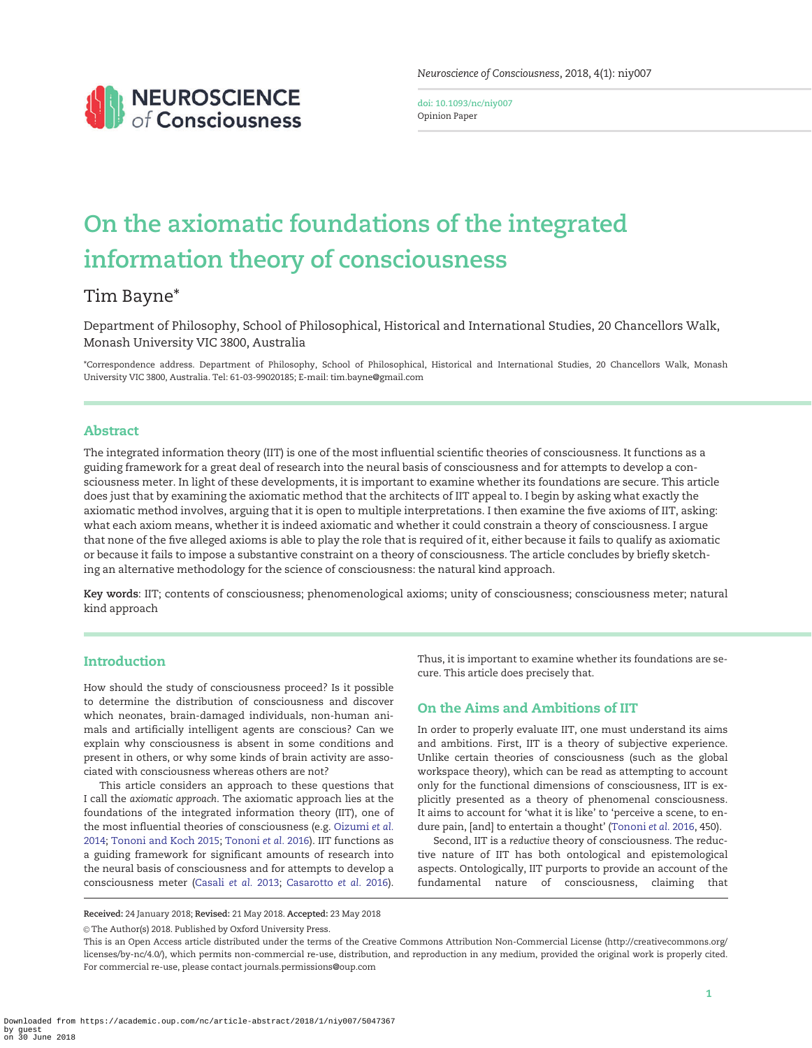

Neuroscience of Consciousness, 2018, 4(1): niy007

doi: 10.1093/nc/niy007 Opinion Paper

# On the axiomatic foundations of the integrated information theory of consciousness

## Tim Bayne\*

Department of Philosophy, School of Philosophical, Historical and International Studies, 20 Chancellors Walk, Monash University VIC 3800, Australia

\*Correspondence address. Department of Philosophy, School of Philosophical, Historical and International Studies, 20 Chancellors Walk, Monash University VIC 3800, Australia. Tel: 61-03-99020185; E-mail: tim.bayne@gmail.com

## Abstract

The integrated information theory (IIT) is one of the most influential scientific theories of consciousness. It functions as a guiding framework for a great deal of research into the neural basis of consciousness and for attempts to develop a consciousness meter. In light of these developments, it is important to examine whether its foundations are secure. This article does just that by examining the axiomatic method that the architects of IIT appeal to. I begin by asking what exactly the axiomatic method involves, arguing that it is open to multiple interpretations. I then examine the five axioms of IIT, asking: what each axiom means, whether it is indeed axiomatic and whether it could constrain a theory of consciousness. I argue that none of the five alleged axioms is able to play the role that is required of it, either because it fails to qualify as axiomatic or because it fails to impose a substantive constraint on a theory of consciousness. The article concludes by briefly sketching an alternative methodology for the science of consciousness: the natural kind approach.

Key words: IIT; contents of consciousness; phenomenological axioms; unity of consciousness; consciousness meter; natural kind approach

## **Introduction**

How should the study of consciousness proceed? Is it possible to determine the distribution of consciousness and discover which neonates, brain-damaged individuals, non-human animals and artificially intelligent agents are conscious? Can we explain why consciousness is absent in some conditions and present in others, or why some kinds of brain activity are associated with consciousness whereas others are not?

This article considers an approach to these questions that I call the axiomatic approach. The axiomatic approach lies at the foundations of the integrated information theory (IIT), one of the most influential theories of consciousness (e.g. Oizumi et al. 2014; Tononi and Koch 2015; Tononi et al. 2016). IIT functions as a guiding framework for significant amounts of research into the neural basis of consciousness and for attempts to develop a consciousness meter (Casali et al. 2013; Casarotto et al. 2016). Thus, it is important to examine whether its foundations are secure. This article does precisely that.

## On the Aims and Ambitions of IIT

In order to properly evaluate IIT, one must understand its aims and ambitions. First, IIT is a theory of subjective experience. Unlike certain theories of consciousness (such as the global workspace theory), which can be read as attempting to account only for the functional dimensions of consciousness, IIT is explicitly presented as a theory of phenomenal consciousness. It aims to account for 'what it is like' to 'perceive a scene, to endure pain, [and] to entertain a thought' (Tononi et al. 2016, 450).

Second, IIT is a reductive theory of consciousness. The reductive nature of IIT has both ontological and epistemological aspects. Ontologically, IIT purports to provide an account of the fundamental nature of consciousness, claiming that

Received: 24 January 2018; Revised: 21 May 2018. Accepted: 23 May 2018

© The Author(s) 2018. Published by Oxford University Press.

This is an Open Access article distributed under the terms of the Creative Commons Attribution Non-Commercial License (http://creativecommons.org/ licenses/by-nc/4.0/), which permits non-commercial re-use, distribution, and reproduction in any medium, provided the original work is properly cited. For commercial re-use, please contact journals.permissions@oup.com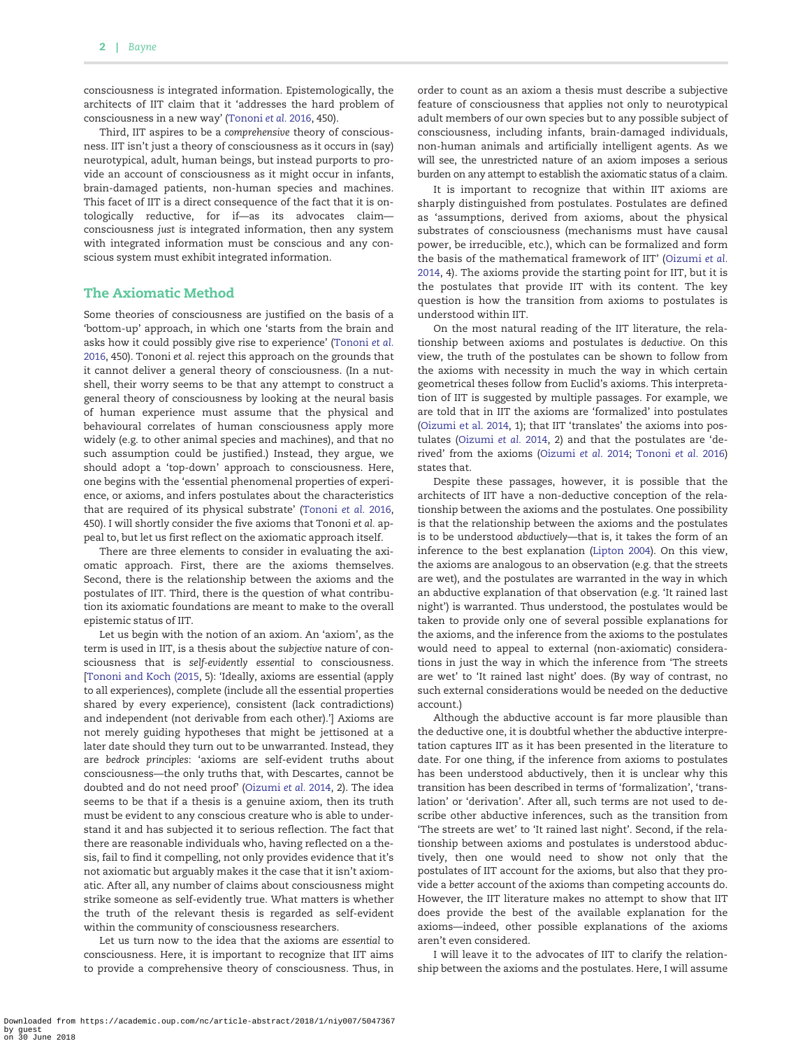consciousness is integrated information. Epistemologically, the architects of IIT claim that it 'addresses the hard problem of consciousness in a new way' (Tononi et al. 2016, 450).

Third, IIT aspires to be a comprehensive theory of consciousness. IIT isn't just a theory of consciousness as it occurs in (say) neurotypical, adult, human beings, but instead purports to provide an account of consciousness as it might occur in infants, brain-damaged patients, non-human species and machines. This facet of IIT is a direct consequence of the fact that it is ontologically reductive, for if—as its advocates claim consciousness just is integrated information, then any system with integrated information must be conscious and any conscious system must exhibit integrated information.

## The Axiomatic Method

Some theories of consciousness are justified on the basis of a 'bottom-up' approach, in which one 'starts from the brain and asks how it could possibly give rise to experience' (Tononi et al. 2016, 450). Tononi et al. reject this approach on the grounds that it cannot deliver a general theory of consciousness. (In a nutshell, their worry seems to be that any attempt to construct a general theory of consciousness by looking at the neural basis of human experience must assume that the physical and behavioural correlates of human consciousness apply more widely (e.g. to other animal species and machines), and that no such assumption could be justified.) Instead, they argue, we should adopt a 'top-down' approach to consciousness. Here, one begins with the 'essential phenomenal properties of experience, or axioms, and infers postulates about the characteristics that are required of its physical substrate' (Tononi et al. 2016, 450). I will shortly consider the five axioms that Tononi et al. appeal to, but let us first reflect on the axiomatic approach itself.

There are three elements to consider in evaluating the axiomatic approach. First, there are the axioms themselves. Second, there is the relationship between the axioms and the postulates of IIT. Third, there is the question of what contribution its axiomatic foundations are meant to make to the overall epistemic status of IIT.

Let us begin with the notion of an axiom. An 'axiom', as the term is used in IIT, is a thesis about the subjective nature of consciousness that is self-evidently essential to consciousness. [Tononi and Koch (2015, 5): 'Ideally, axioms are essential (apply to all experiences), complete (include all the essential properties shared by every experience), consistent (lack contradictions) and independent (not derivable from each other).'] Axioms are not merely guiding hypotheses that might be jettisoned at a later date should they turn out to be unwarranted. Instead, they are bedrock principles: 'axioms are self-evident truths about consciousness—the only truths that, with Descartes, cannot be doubted and do not need proof' (Oizumi et al. 2014, 2). The idea seems to be that if a thesis is a genuine axiom, then its truth must be evident to any conscious creature who is able to understand it and has subjected it to serious reflection. The fact that there are reasonable individuals who, having reflected on a thesis, fail to find it compelling, not only provides evidence that it's not axiomatic but arguably makes it the case that it isn't axiomatic. After all, any number of claims about consciousness might strike someone as self-evidently true. What matters is whether the truth of the relevant thesis is regarded as self-evident within the community of consciousness researchers.

Let us turn now to the idea that the axioms are essential to consciousness. Here, it is important to recognize that IIT aims to provide a comprehensive theory of consciousness. Thus, in order to count as an axiom a thesis must describe a subjective feature of consciousness that applies not only to neurotypical adult members of our own species but to any possible subject of consciousness, including infants, brain-damaged individuals, non-human animals and artificially intelligent agents. As we will see, the unrestricted nature of an axiom imposes a serious burden on any attempt to establish the axiomatic status of a claim.

It is important to recognize that within IIT axioms are sharply distinguished from postulates. Postulates are defined as 'assumptions, derived from axioms, about the physical substrates of consciousness (mechanisms must have causal power, be irreducible, etc.), which can be formalized and form the basis of the mathematical framework of IIT' (Oizumi et al. 2014, 4). The axioms provide the starting point for IIT, but it is the postulates that provide IIT with its content. The key question is how the transition from axioms to postulates is understood within IIT.

On the most natural reading of the IIT literature, the relationship between axioms and postulates is deductive. On this view, the truth of the postulates can be shown to follow from the axioms with necessity in much the way in which certain geometrical theses follow from Euclid's axioms. This interpretation of IIT is suggested by multiple passages. For example, we are told that in IIT the axioms are 'formalized' into postulates (Oizumi et al. 2014, 1); that IIT 'translates' the axioms into postulates (Oizumi et al. 2014, 2) and that the postulates are 'derived' from the axioms (Oizumi et al. 2014; Tononi et al. 2016) states that.

Despite these passages, however, it is possible that the architects of IIT have a non-deductive conception of the relationship between the axioms and the postulates. One possibility is that the relationship between the axioms and the postulates is to be understood abductively—that is, it takes the form of an inference to the best explanation (Lipton 2004). On this view, the axioms are analogous to an observation (e.g. that the streets are wet), and the postulates are warranted in the way in which an abductive explanation of that observation (e.g. 'It rained last night') is warranted. Thus understood, the postulates would be taken to provide only one of several possible explanations for the axioms, and the inference from the axioms to the postulates would need to appeal to external (non-axiomatic) considerations in just the way in which the inference from 'The streets are wet' to 'It rained last night' does. (By way of contrast, no such external considerations would be needed on the deductive account.)

Although the abductive account is far more plausible than the deductive one, it is doubtful whether the abductive interpretation captures IIT as it has been presented in the literature to date. For one thing, if the inference from axioms to postulates has been understood abductively, then it is unclear why this transition has been described in terms of 'formalization', 'translation' or 'derivation'. After all, such terms are not used to describe other abductive inferences, such as the transition from 'The streets are wet' to 'It rained last night'. Second, if the relationship between axioms and postulates is understood abductively, then one would need to show not only that the postulates of IIT account for the axioms, but also that they provide a better account of the axioms than competing accounts do. However, the IIT literature makes no attempt to show that IIT does provide the best of the available explanation for the axioms—indeed, other possible explanations of the axioms aren't even considered.

I will leave it to the advocates of IIT to clarify the relationship between the axioms and the postulates. Here, I will assume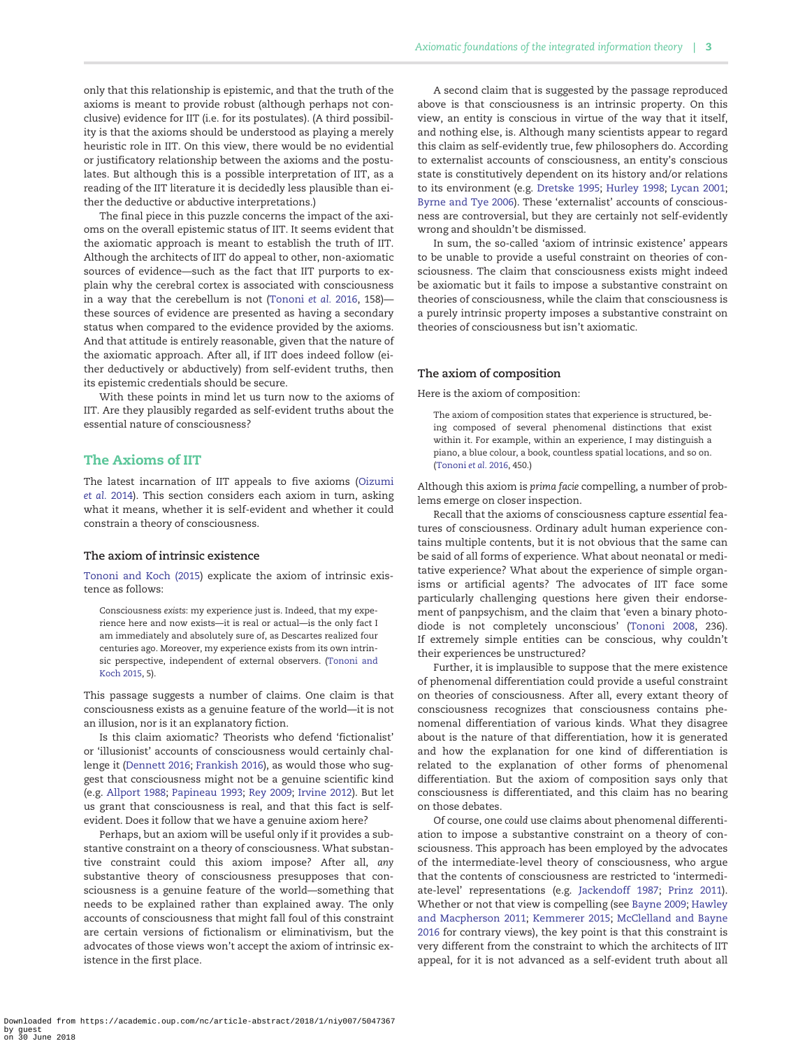only that this relationship is epistemic, and that the truth of the axioms is meant to provide robust (although perhaps not conclusive) evidence for IIT (i.e. for its postulates). (A third possibility is that the axioms should be understood as playing a merely heuristic role in IIT. On this view, there would be no evidential or justificatory relationship between the axioms and the postulates. But although this is a possible interpretation of IIT, as a reading of the IIT literature it is decidedly less plausible than either the deductive or abductive interpretations.)

The final piece in this puzzle concerns the impact of the axioms on the overall epistemic status of IIT. It seems evident that the axiomatic approach is meant to establish the truth of IIT. Although the architects of IIT do appeal to other, non-axiomatic sources of evidence—such as the fact that IIT purports to explain why the cerebral cortex is associated with consciousness in a way that the cerebellum is not (Tononi et al. 2016, 158) these sources of evidence are presented as having a secondary status when compared to the evidence provided by the axioms. And that attitude is entirely reasonable, given that the nature of the axiomatic approach. After all, if IIT does indeed follow (either deductively or abductively) from self-evident truths, then its epistemic credentials should be secure.

With these points in mind let us turn now to the axioms of IIT. Are they plausibly regarded as self-evident truths about the essential nature of consciousness?

## The Axioms of IIT

The latest incarnation of IIT appeals to five axioms (Oizumi et al. 2014). This section considers each axiom in turn, asking what it means, whether it is self-evident and whether it could constrain a theory of consciousness.

#### The axiom of intrinsic existence

Tononi and Koch (2015) explicate the axiom of intrinsic existence as follows:

Consciousness exists: my experience just is. Indeed, that my experience here and now exists—it is real or actual—is the only fact I am immediately and absolutely sure of, as Descartes realized four centuries ago. Moreover, my experience exists from its own intrinsic perspective, independent of external observers. (Tononi and Koch 2015, 5).

This passage suggests a number of claims. One claim is that consciousness exists as a genuine feature of the world—it is not an illusion, nor is it an explanatory fiction.

Is this claim axiomatic? Theorists who defend 'fictionalist' or 'illusionist' accounts of consciousness would certainly challenge it (Dennett 2016; Frankish 2016), as would those who suggest that consciousness might not be a genuine scientific kind (e.g. Allport 1988; Papineau 1993; Rey 2009; Irvine 2012). But let us grant that consciousness is real, and that this fact is selfevident. Does it follow that we have a genuine axiom here?

Perhaps, but an axiom will be useful only if it provides a substantive constraint on a theory of consciousness. What substantive constraint could this axiom impose? After all, any substantive theory of consciousness presupposes that consciousness is a genuine feature of the world—something that needs to be explained rather than explained away. The only accounts of consciousness that might fall foul of this constraint are certain versions of fictionalism or eliminativism, but the advocates of those views won't accept the axiom of intrinsic existence in the first place.

A second claim that is suggested by the passage reproduced above is that consciousness is an intrinsic property. On this view, an entity is conscious in virtue of the way that it itself, and nothing else, is. Although many scientists appear to regard this claim as self-evidently true, few philosophers do. According to externalist accounts of consciousness, an entity's conscious state is constitutively dependent on its history and/or relations to its environment (e.g. Dretske 1995; Hurley 1998; Lycan 2001; Byrne and Tye 2006). These 'externalist' accounts of consciousness are controversial, but they are certainly not self-evidently wrong and shouldn't be dismissed.

In sum, the so-called 'axiom of intrinsic existence' appears to be unable to provide a useful constraint on theories of consciousness. The claim that consciousness exists might indeed be axiomatic but it fails to impose a substantive constraint on theories of consciousness, while the claim that consciousness is a purely intrinsic property imposes a substantive constraint on theories of consciousness but isn't axiomatic.

#### The axiom of composition

Here is the axiom of composition:

The axiom of composition states that experience is structured, being composed of several phenomenal distinctions that exist within it. For example, within an experience, I may distinguish a piano, a blue colour, a book, countless spatial locations, and so on. (Tononi et al. 2016, 450.)

Although this axiom is prima facie compelling, a number of problems emerge on closer inspection.

Recall that the axioms of consciousness capture essential features of consciousness. Ordinary adult human experience contains multiple contents, but it is not obvious that the same can be said of all forms of experience. What about neonatal or meditative experience? What about the experience of simple organisms or artificial agents? The advocates of IIT face some particularly challenging questions here given their endorsement of panpsychism, and the claim that 'even a binary photodiode is not completely unconscious' (Tononi 2008, 236). If extremely simple entities can be conscious, why couldn't their experiences be unstructured?

Further, it is implausible to suppose that the mere existence of phenomenal differentiation could provide a useful constraint on theories of consciousness. After all, every extant theory of consciousness recognizes that consciousness contains phenomenal differentiation of various kinds. What they disagree about is the nature of that differentiation, how it is generated and how the explanation for one kind of differentiation is related to the explanation of other forms of phenomenal differentiation. But the axiom of composition says only that consciousness is differentiated, and this claim has no bearing on those debates.

Of course, one could use claims about phenomenal differentiation to impose a substantive constraint on a theory of consciousness. This approach has been employed by the advocates of the intermediate-level theory of consciousness, who argue that the contents of consciousness are restricted to 'intermediate-level' representations (e.g. Jackendoff 1987; Prinz 2011). Whether or not that view is compelling (see Bayne 2009; Hawley and Macpherson 2011; Kemmerer 2015; McClelland and Bayne 2016 for contrary views), the key point is that this constraint is very different from the constraint to which the architects of IIT appeal, for it is not advanced as a self-evident truth about all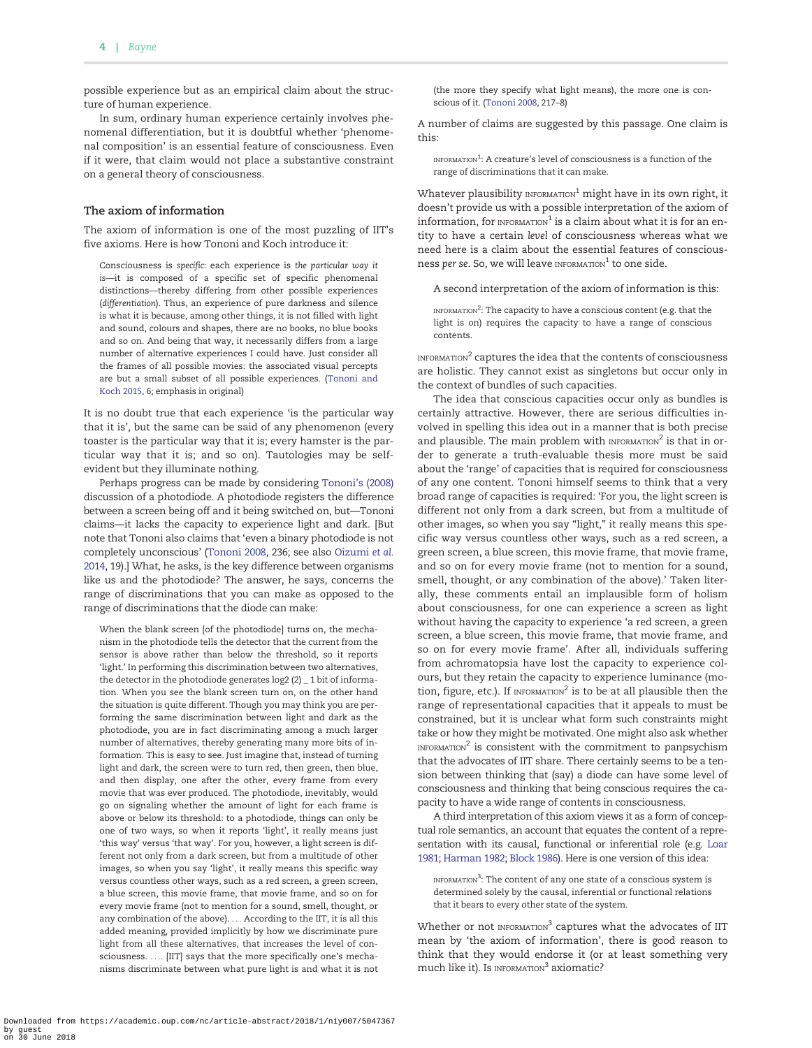possible experience but as an empirical claim about the structure of human experience.

In sum, ordinary human experience certainly involves phenomenal differentiation, but it is doubtful whether 'phenomenal composition' is an essential feature of consciousness. Even if it were, that claim would not place a substantive constraint on a general theory of consciousness.

#### The axiom of information

The axiom of information is one of the most puzzling of IIT's five axioms. Here is how Tononi and Koch introduce it:

Consciousness is specific: each experience is the particular way it is—it is composed of a specific set of specific phenomenal distinctions—thereby differing from other possible experiences (differentiation). Thus, an experience of pure darkness and silence is what it is because, among other things, it is not filled with light and sound, colours and shapes, there are no books, no blue books and so on. And being that way, it necessarily differs from a large number of alternative experiences I could have. Just consider all the frames of all possible movies: the associated visual percepts are but a small subset of all possible experiences. (Tononi and Koch 2015, 6; emphasis in original)

It is no doubt true that each experience 'is the particular way that it is', but the same can be said of any phenomenon (every toaster is the particular way that it is; every hamster is the particular way that it is; and so on). Tautologies may be selfevident but they illuminate nothing.

Perhaps progress can be made by considering Tononi's (2008) discussion of a photodiode. A photodiode registers the difference between a screen being off and it being switched on, but—Tononi claims—it lacks the capacity to experience light and dark. [But note that Tononi also claims that 'even a binary photodiode is not completely unconscious' (Tononi 2008, 236; see also Oizumi et al. 2014, 19).] What, he asks, is the key difference between organisms like us and the photodiode? The answer, he says, concerns the range of discriminations that you can make as opposed to the range of discriminations that the diode can make:

When the blank screen [of the photodiode] turns on, the mechanism in the photodiode tells the detector that the current from the sensor is above rather than below the threshold, so it reports 'light.' In performing this discrimination between two alternatives, the detector in the photodiode generates  $log2(2)$   $-$  1 bit of information. When you see the blank screen turn on, on the other hand the situation is quite different. Though you may think you are performing the same discrimination between light and dark as the photodiode, you are in fact discriminating among a much larger number of alternatives, thereby generating many more bits of information. This is easy to see. Just imagine that, instead of turning light and dark, the screen were to turn red, then green, then blue, and then display, one after the other, every frame from every movie that was ever produced. The photodiode, inevitably, would go on signaling whether the amount of light for each frame is above or below its threshold: to a photodiode, things can only be one of two ways, so when it reports 'light', it really means just 'this way' versus 'that way'. For you, however, a light screen is different not only from a dark screen, but from a multitude of other images, so when you say 'light', it really means this specific way versus countless other ways, such as a red screen, a green screen, a blue screen, this movie frame, that movie frame, and so on for every movie frame (not to mention for a sound, smell, thought, or any combination of the above). ... According to the IIT, it is all this added meaning, provided implicitly by how we discriminate pure light from all these alternatives, that increases the level of consciousness. .... [IIT] says that the more specifically one's mechanisms discriminate between what pure light is and what it is not (the more they specify what light means), the more one is conscious of it. (Tononi 2008, 217–8)

A number of claims are suggested by this passage. One claim is this:

 $INFORMATION<sup>1</sup>:$  A creature's level of consciousness is a function of the range of discriminations that it can make.

Whatever plausibility INFORMATION<sup>1</sup> might have in its own right, it doesn't provide us with a possible interpretation of the axiom of information, for  $MN$ FORMATION<sup>1</sup> is a claim about what it is for an entity to have a certain level of consciousness whereas what we need here is a claim about the essential features of consciousness per se. So, we will leave  $M$ <sup>1</sup> to one side.

A second interpretation of the axiom of information is this:

INFORMATION<sup>2</sup>: The capacity to have a conscious content (e.g. that the light is on) requires the capacity to have a range of conscious contents.

INFORMATION2 captures the idea that the contents of consciousness are holistic. They cannot exist as singletons but occur only in the context of bundles of such capacities.

The idea that conscious capacities occur only as bundles is certainly attractive. However, there are serious difficulties involved in spelling this idea out in a manner that is both precise and plausible. The main problem with  $N$ <sup>2</sup> is that in order to generate a truth-evaluable thesis more must be said about the 'range' of capacities that is required for consciousness of any one content. Tononi himself seems to think that a very broad range of capacities is required: 'For you, the light screen is different not only from a dark screen, but from a multitude of other images, so when you say "light," it really means this specific way versus countless other ways, such as a red screen, a green screen, a blue screen, this movie frame, that movie frame, and so on for every movie frame (not to mention for a sound, smell, thought, or any combination of the above).' Taken literally, these comments entail an implausible form of holism about consciousness, for one can experience a screen as light without having the capacity to experience 'a red screen, a green screen, a blue screen, this movie frame, that movie frame, and so on for every movie frame'. After all, individuals suffering from achromatopsia have lost the capacity to experience colours, but they retain the capacity to experience luminance (motion, figure, etc.). If  $INFORMATION<sup>2</sup>$  is to be at all plausible then the range of representational capacities that it appeals to must be constrained, but it is unclear what form such constraints might take or how they might be motivated. One might also ask whether  $INFORMATION<sup>2</sup>$  is consistent with the commitment to panpsychism that the advocates of IIT share. There certainly seems to be a tension between thinking that (say) a diode can have some level of consciousness and thinking that being conscious requires the capacity to have a wide range of contents in consciousness.

A third interpretation of this axiom views it as a form of conceptual role semantics, an account that equates the content of a representation with its causal, functional or inferential role (e.g. Loar 1981; Harman 1982; Block 1986). Here is one version of this idea:

INFORMATION<sup>3</sup>: The content of any one state of a conscious system is determined solely by the causal, inferential or functional relations that it bears to every other state of the system.

Whether or not INFORMATION<sup>3</sup> captures what the advocates of IIT mean by 'the axiom of information', there is good reason to think that they would endorse it (or at least something very much like it). Is  $INFORMATION<sup>3</sup> axiomatic?$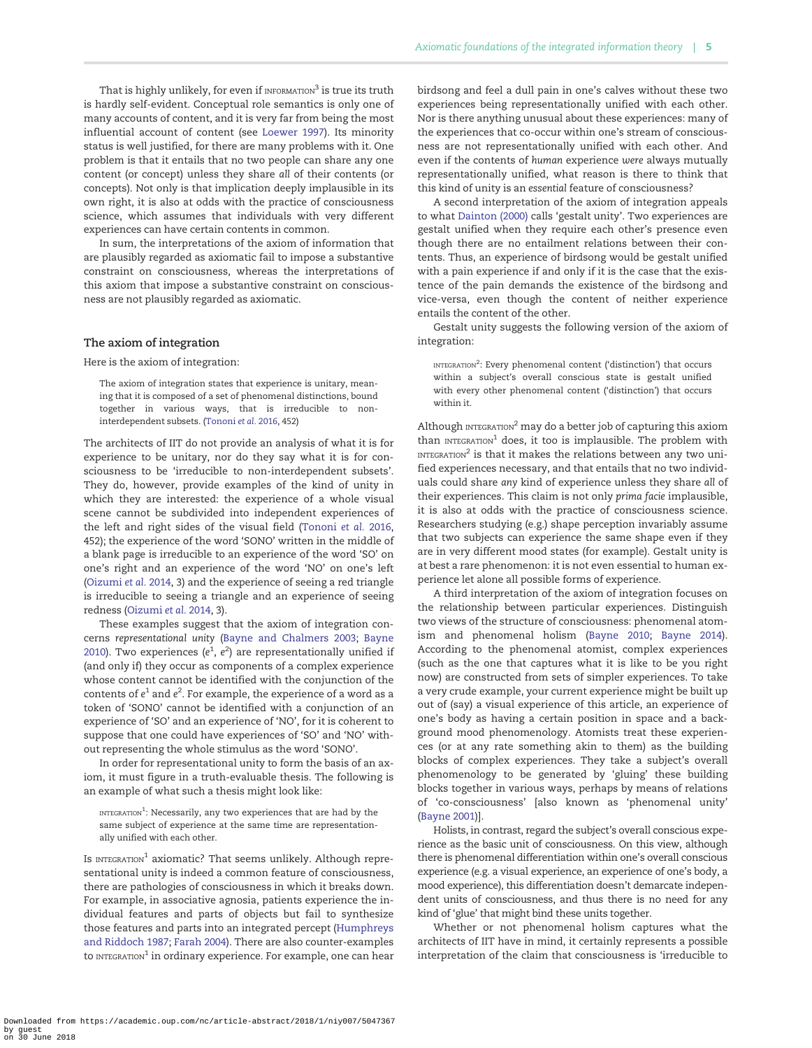That is highly unlikely, for even if  $N$ FORMATION<sup>3</sup> is true its truth is hardly self-evident. Conceptual role semantics is only one of many accounts of content, and it is very far from being the most influential account of content (see Loewer 1997). Its minority status is well justified, for there are many problems with it. One problem is that it entails that no two people can share any one content (or concept) unless they share all of their contents (or concepts). Not only is that implication deeply implausible in its own right, it is also at odds with the practice of consciousness science, which assumes that individuals with very different experiences can have certain contents in common.

In sum, the interpretations of the axiom of information that are plausibly regarded as axiomatic fail to impose a substantive constraint on consciousness, whereas the interpretations of this axiom that impose a substantive constraint on consciousness are not plausibly regarded as axiomatic.

#### The axiom of integration

Here is the axiom of integration:

The axiom of integration states that experience is unitary, meaning that it is composed of a set of phenomenal distinctions, bound together in various ways, that is irreducible to noninterdependent subsets. (Tononi et al. 2016, 452)

The architects of IIT do not provide an analysis of what it is for experience to be unitary, nor do they say what it is for consciousness to be 'irreducible to non-interdependent subsets'. They do, however, provide examples of the kind of unity in which they are interested: the experience of a whole visual scene cannot be subdivided into independent experiences of the left and right sides of the visual field (Tononi et al. 2016, 452); the experience of the word 'SONO' written in the middle of a blank page is irreducible to an experience of the word 'SO' on one's right and an experience of the word 'NO' on one's left (Oizumi et al. 2014, 3) and the experience of seeing a red triangle is irreducible to seeing a triangle and an experience of seeing redness (Oizumi et al. 2014, 3).

These examples suggest that the axiom of integration concerns representational unity (Bayne and Chalmers 2003; Bayne 2010). Two experiences ( $e^{1}$ ,  $e^{2}$ ) are representationally unified if (and only if) they occur as components of a complex experience whose content cannot be identified with the conjunction of the contents of  $e^1$  and  $e^2$ . For example, the experience of a word as a token of 'SONO' cannot be identified with a conjunction of an experience of 'SO' and an experience of 'NO', for it is coherent to suppose that one could have experiences of 'SO' and 'NO' without representing the whole stimulus as the word 'SONO'.

In order for representational unity to form the basis of an axiom, it must figure in a truth-evaluable thesis. The following is an example of what such a thesis might look like:

 $\textsc{interior}^1$ : Necessarily, any two experiences that are had by the same subject of experience at the same time are representationally unified with each other.

Is  $INTEGRATION<sup>1</sup>$  axiomatic? That seems unlikely. Although representational unity is indeed a common feature of consciousness, there are pathologies of consciousness in which it breaks down. For example, in associative agnosia, patients experience the individual features and parts of objects but fail to synthesize those features and parts into an integrated percept (Humphreys and Riddoch 1987; Farah 2004). There are also counter-examples to INTEGRATION<sup>1</sup> in ordinary experience. For example, one can hear

birdsong and feel a dull pain in one's calves without these two experiences being representationally unified with each other. Nor is there anything unusual about these experiences: many of the experiences that co-occur within one's stream of consciousness are not representationally unified with each other. And even if the contents of human experience were always mutually representationally unified, what reason is there to think that this kind of unity is an essential feature of consciousness?

A second interpretation of the axiom of integration appeals to what Dainton (2000) calls 'gestalt unity'. Two experiences are gestalt unified when they require each other's presence even though there are no entailment relations between their contents. Thus, an experience of birdsong would be gestalt unified with a pain experience if and only if it is the case that the existence of the pain demands the existence of the birdsong and vice-versa, even though the content of neither experience entails the content of the other.

Gestalt unity suggests the following version of the axiom of integration:

INTEGRATION<sup>2</sup>: Every phenomenal content ('distinction') that occurs within a subject's overall conscious state is gestalt unified with every other phenomenal content ('distinction') that occurs within it.

Although INTEGRATION<sup>2</sup> may do a better job of capturing this axiom than  $INTEGRATION<sup>1</sup>$  does, it too is implausible. The problem with  $INTEGRATION<sup>2</sup>$  is that it makes the relations between any two unified experiences necessary, and that entails that no two individuals could share any kind of experience unless they share all of their experiences. This claim is not only prima facie implausible, it is also at odds with the practice of consciousness science. Researchers studying (e.g.) shape perception invariably assume that two subjects can experience the same shape even if they are in very different mood states (for example). Gestalt unity is at best a rare phenomenon: it is not even essential to human experience let alone all possible forms of experience.

A third interpretation of the axiom of integration focuses on the relationship between particular experiences. Distinguish two views of the structure of consciousness: phenomenal atomism and phenomenal holism (Bayne 2010; Bayne 2014). According to the phenomenal atomist, complex experiences (such as the one that captures what it is like to be you right now) are constructed from sets of simpler experiences. To take a very crude example, your current experience might be built up out of (say) a visual experience of this article, an experience of one's body as having a certain position in space and a background mood phenomenology. Atomists treat these experiences (or at any rate something akin to them) as the building blocks of complex experiences. They take a subject's overall phenomenology to be generated by 'gluing' these building blocks together in various ways, perhaps by means of relations of 'co-consciousness' [also known as 'phenomenal unity' (Bayne 2001)].

Holists, in contrast, regard the subject's overall conscious experience as the basic unit of consciousness. On this view, although there is phenomenal differentiation within one's overall conscious experience (e.g. a visual experience, an experience of one's body, a mood experience), this differentiation doesn't demarcate independent units of consciousness, and thus there is no need for any kind of 'glue' that might bind these units together.

Whether or not phenomenal holism captures what the architects of IIT have in mind, it certainly represents a possible interpretation of the claim that consciousness is 'irreducible to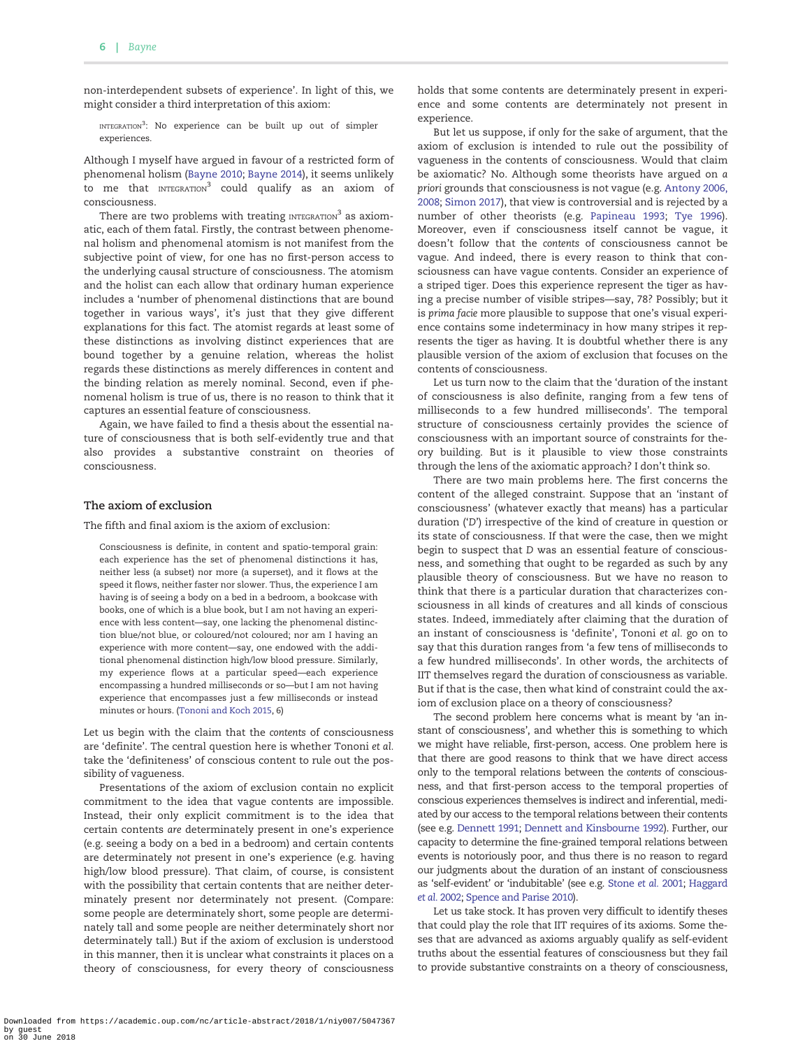non-interdependent subsets of experience'. In light of this, we might consider a third interpretation of this axiom:

INTEGRATION<sup>3</sup>: No experience can be built up out of simpler experiences.

Although I myself have argued in favour of a restricted form of phenomenal holism (Bayne 2010; Bayne 2014), it seems unlikely to me that  $NTEGRATION<sup>3</sup>$  could qualify as an axiom of consciousness.

There are two problems with treating  $M$ <sup>3</sup> as axiomatic, each of them fatal. Firstly, the contrast between phenomenal holism and phenomenal atomism is not manifest from the subjective point of view, for one has no first-person access to the underlying causal structure of consciousness. The atomism and the holist can each allow that ordinary human experience includes a 'number of phenomenal distinctions that are bound together in various ways', it's just that they give different explanations for this fact. The atomist regards at least some of these distinctions as involving distinct experiences that are bound together by a genuine relation, whereas the holist regards these distinctions as merely differences in content and the binding relation as merely nominal. Second, even if phenomenal holism is true of us, there is no reason to think that it captures an essential feature of consciousness.

Again, we have failed to find a thesis about the essential nature of consciousness that is both self-evidently true and that also provides a substantive constraint on theories of consciousness.

#### The axiom of exclusion

The fifth and final axiom is the axiom of exclusion:

Consciousness is definite, in content and spatio-temporal grain: each experience has the set of phenomenal distinctions it has, neither less (a subset) nor more (a superset), and it flows at the speed it flows, neither faster nor slower. Thus, the experience I am having is of seeing a body on a bed in a bedroom, a bookcase with books, one of which is a blue book, but I am not having an experience with less content—say, one lacking the phenomenal distinction blue/not blue, or coloured/not coloured; nor am I having an experience with more content—say, one endowed with the additional phenomenal distinction high/low blood pressure. Similarly, my experience flows at a particular speed—each experience encompassing a hundred milliseconds or so—but I am not having experience that encompasses just a few milliseconds or instead minutes or hours. (Tononi and Koch 2015, 6)

Let us begin with the claim that the contents of consciousness are 'definite'. The central question here is whether Tononi et al. take the 'definiteness' of conscious content to rule out the possibility of vagueness.

Presentations of the axiom of exclusion contain no explicit commitment to the idea that vague contents are impossible. Instead, their only explicit commitment is to the idea that certain contents are determinately present in one's experience (e.g. seeing a body on a bed in a bedroom) and certain contents are determinately not present in one's experience (e.g. having high/low blood pressure). That claim, of course, is consistent with the possibility that certain contents that are neither determinately present nor determinately not present. (Compare: some people are determinately short, some people are determinately tall and some people are neither determinately short nor determinately tall.) But if the axiom of exclusion is understood in this manner, then it is unclear what constraints it places on a theory of consciousness, for every theory of consciousness holds that some contents are determinately present in experience and some contents are determinately not present in experience.

But let us suppose, if only for the sake of argument, that the axiom of exclusion is intended to rule out the possibility of vagueness in the contents of consciousness. Would that claim be axiomatic? No. Although some theorists have argued on a priori grounds that consciousness is not vague (e.g. Antony 2006, 2008; Simon 2017), that view is controversial and is rejected by a number of other theorists (e.g. Papineau 1993; Tye 1996). Moreover, even if consciousness itself cannot be vague, it doesn't follow that the contents of consciousness cannot be vague. And indeed, there is every reason to think that consciousness can have vague contents. Consider an experience of a striped tiger. Does this experience represent the tiger as having a precise number of visible stripes—say, 78? Possibly; but it is prima facie more plausible to suppose that one's visual experience contains some indeterminacy in how many stripes it represents the tiger as having. It is doubtful whether there is any plausible version of the axiom of exclusion that focuses on the contents of consciousness.

Let us turn now to the claim that the 'duration of the instant of consciousness is also definite, ranging from a few tens of milliseconds to a few hundred milliseconds'. The temporal structure of consciousness certainly provides the science of consciousness with an important source of constraints for theory building. But is it plausible to view those constraints through the lens of the axiomatic approach? I don't think so.

There are two main problems here. The first concerns the content of the alleged constraint. Suppose that an 'instant of consciousness' (whatever exactly that means) has a particular duration ('D') irrespective of the kind of creature in question or its state of consciousness. If that were the case, then we might begin to suspect that D was an essential feature of consciousness, and something that ought to be regarded as such by any plausible theory of consciousness. But we have no reason to think that there is a particular duration that characterizes consciousness in all kinds of creatures and all kinds of conscious states. Indeed, immediately after claiming that the duration of an instant of consciousness is 'definite', Tononi et al. go on to say that this duration ranges from 'a few tens of milliseconds to a few hundred milliseconds'. In other words, the architects of IIT themselves regard the duration of consciousness as variable. But if that is the case, then what kind of constraint could the axiom of exclusion place on a theory of consciousness?

The second problem here concerns what is meant by 'an instant of consciousness', and whether this is something to which we might have reliable, first-person, access. One problem here is that there are good reasons to think that we have direct access only to the temporal relations between the contents of consciousness, and that first-person access to the temporal properties of conscious experiences themselves is indirect and inferential, mediated by our access to the temporal relations between their contents (see e.g. Dennett 1991; Dennett and Kinsbourne 1992). Further, our capacity to determine the fine-grained temporal relations between events is notoriously poor, and thus there is no reason to regard our judgments about the duration of an instant of consciousness as 'self-evident' or 'indubitable' (see e.g. Stone et al. 2001; Haggard et al. 2002; Spence and Parise 2010).

Let us take stock. It has proven very difficult to identify theses that could play the role that IIT requires of its axioms. Some theses that are advanced as axioms arguably qualify as self-evident truths about the essential features of consciousness but they fail to provide substantive constraints on a theory of consciousness,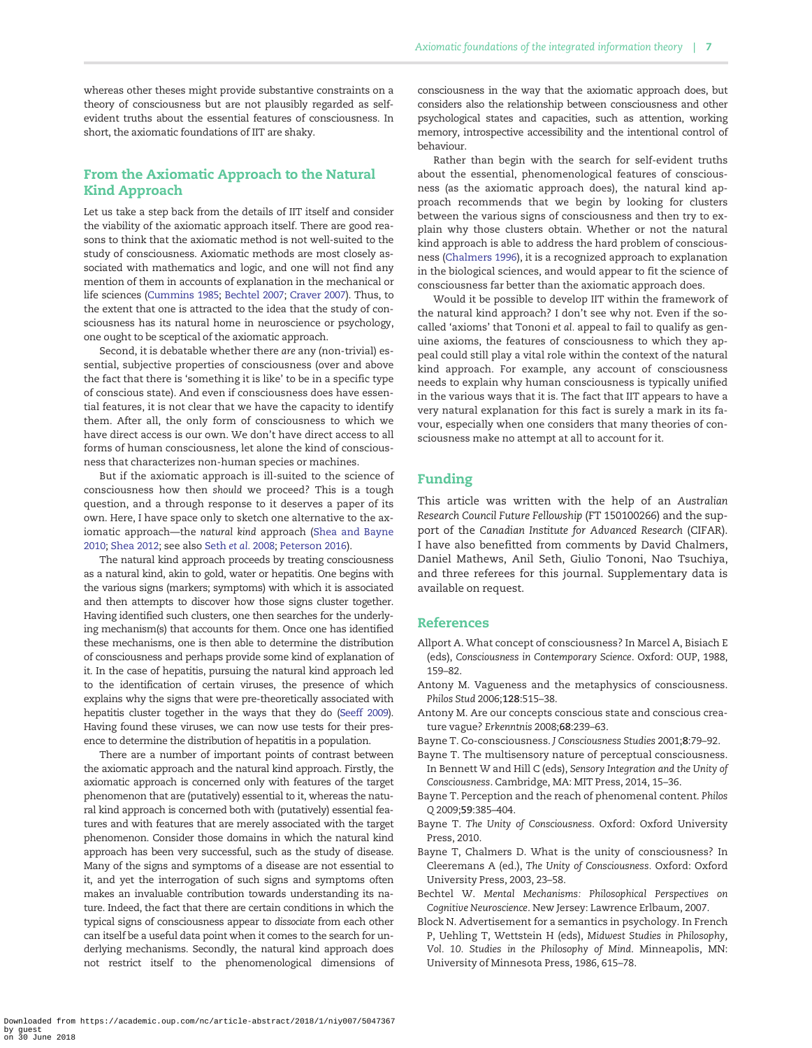whereas other theses might provide substantive constraints on a theory of consciousness but are not plausibly regarded as selfevident truths about the essential features of consciousness. In short, the axiomatic foundations of IIT are shaky.

## From the Axiomatic Approach to the Natural Kind Approach

Let us take a step back from the details of IIT itself and consider the viability of the axiomatic approach itself. There are good reasons to think that the axiomatic method is not well-suited to the study of consciousness. Axiomatic methods are most closely associated with mathematics and logic, and one will not find any mention of them in accounts of explanation in the mechanical or life sciences (Cummins 1985; Bechtel 2007; Craver 2007). Thus, to the extent that one is attracted to the idea that the study of consciousness has its natural home in neuroscience or psychology, one ought to be sceptical of the axiomatic approach.

Second, it is debatable whether there are any (non-trivial) essential, subjective properties of consciousness (over and above the fact that there is 'something it is like' to be in a specific type of conscious state). And even if consciousness does have essential features, it is not clear that we have the capacity to identify them. After all, the only form of consciousness to which we have direct access is our own. We don't have direct access to all forms of human consciousness, let alone the kind of consciousness that characterizes non-human species or machines.

But if the axiomatic approach is ill-suited to the science of consciousness how then should we proceed? This is a tough question, and a through response to it deserves a paper of its own. Here, I have space only to sketch one alternative to the axiomatic approach—the natural kind approach (Shea and Bayne 2010; Shea 2012; see also Seth et al. 2008; Peterson 2016).

The natural kind approach proceeds by treating consciousness as a natural kind, akin to gold, water or hepatitis. One begins with the various signs (markers; symptoms) with which it is associated and then attempts to discover how those signs cluster together. Having identified such clusters, one then searches for the underlying mechanism(s) that accounts for them. Once one has identified these mechanisms, one is then able to determine the distribution of consciousness and perhaps provide some kind of explanation of it. In the case of hepatitis, pursuing the natural kind approach led to the identification of certain viruses, the presence of which explains why the signs that were pre-theoretically associated with hepatitis cluster together in the ways that they do (Seeff 2009). Having found these viruses, we can now use tests for their presence to determine the distribution of hepatitis in a population.

There are a number of important points of contrast between the axiomatic approach and the natural kind approach. Firstly, the axiomatic approach is concerned only with features of the target phenomenon that are (putatively) essential to it, whereas the natural kind approach is concerned both with (putatively) essential features and with features that are merely associated with the target phenomenon. Consider those domains in which the natural kind approach has been very successful, such as the study of disease. Many of the signs and symptoms of a disease are not essential to it, and yet the interrogation of such signs and symptoms often makes an invaluable contribution towards understanding its nature. Indeed, the fact that there are certain conditions in which the typical signs of consciousness appear to dissociate from each other can itself be a useful data point when it comes to the search for underlying mechanisms. Secondly, the natural kind approach does not restrict itself to the phenomenological dimensions of consciousness in the way that the axiomatic approach does, but considers also the relationship between consciousness and other psychological states and capacities, such as attention, working memory, introspective accessibility and the intentional control of behaviour.

Rather than begin with the search for self-evident truths about the essential, phenomenological features of consciousness (as the axiomatic approach does), the natural kind approach recommends that we begin by looking for clusters between the various signs of consciousness and then try to explain why those clusters obtain. Whether or not the natural kind approach is able to address the hard problem of consciousness (Chalmers 1996), it is a recognized approach to explanation in the biological sciences, and would appear to fit the science of consciousness far better than the axiomatic approach does.

Would it be possible to develop IIT within the framework of the natural kind approach? I don't see why not. Even if the socalled 'axioms' that Tononi et al. appeal to fail to qualify as genuine axioms, the features of consciousness to which they appeal could still play a vital role within the context of the natural kind approach. For example, any account of consciousness needs to explain why human consciousness is typically unified in the various ways that it is. The fact that IIT appears to have a very natural explanation for this fact is surely a mark in its favour, especially when one considers that many theories of consciousness make no attempt at all to account for it.

### Funding

This article was written with the help of an Australian Research Council Future Fellowship (FT 150100266) and the support of the Canadian Institute for Advanced Research (CIFAR). I have also benefitted from comments by David Chalmers, Daniel Mathews, Anil Seth, Giulio Tononi, Nao Tsuchiya, and three referees for this journal. Supplementary data is available on request.

#### References

- Allport A. What concept of consciousness? In Marcel A, Bisiach E (eds), Consciousness in Contemporary Science. Oxford: OUP, 1988, 159–82.
- Antony M. Vagueness and the metaphysics of consciousness. Philos Stud 2006;128:515–38.
- Antony M. Are our concepts conscious state and conscious creature vague? Erkenntnis 2008;68:239–63.
- Bayne T. Co-consciousness. J Consciousness Studies 2001;8:79–92.
- Bayne T. The multisensory nature of perceptual consciousness. In Bennett W and Hill C (eds), Sensory Integration and the Unity of Consciousness. Cambridge, MA: MIT Press, 2014, 15–36.
- Bayne T. Perception and the reach of phenomenal content. Philos Q 2009;59:385–404.
- Bayne T. The Unity of Consciousness. Oxford: Oxford University Press, 2010.
- Bayne T, Chalmers D. What is the unity of consciousness? In Cleeremans A (ed.), The Unity of Consciousness. Oxford: Oxford University Press, 2003, 23–58.
- Bechtel W. Mental Mechanisms: Philosophical Perspectives on Cognitive Neuroscience. New Jersey: Lawrence Erlbaum, 2007.
- Block N. Advertisement for a semantics in psychology. In French P, Uehling T, Wettstein H (eds), Midwest Studies in Philosophy, Vol. 10. Studies in the Philosophy of Mind. Minneapolis, MN: University of Minnesota Press, 1986, 615–78.